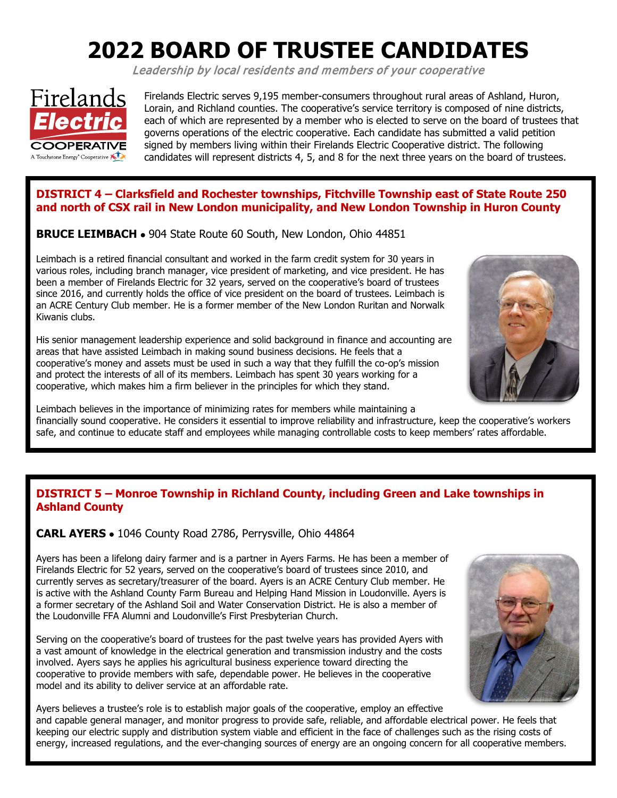# **2022 BOARD OF TRUSTEE CANDIDATES**

Leadership by local residents and members of your cooperative



Firelands Electric serves 9,195 member-consumers throughout rural areas of Ashland, Huron, Lorain, and Richland counties. The cooperative's service territory is composed of nine districts, each of which are represented by a member who is elected to serve on the board of trustees that governs operations of the electric cooperative. Each candidate has submitted a valid petition signed by members living within their Firelands Electric Cooperative district. The following candidates will represent districts 4, 5, and 8 for the next three years on the board of trustees.

## **DISTRICT 4 – Clarksfield and Rochester townships, Fitchville Township east of State Route 250 and north of CSX rail in New London municipality, and New London Township in Huron County**

**BRUCE LEIMBACH** • 904 State Route 60 South, New London, Ohio 44851

Leimbach is a retired financial consultant and worked in the farm credit system for 30 years in various roles, including branch manager, vice president of marketing, and vice president. He has been a member of Firelands Electric for 32 years, served on the cooperative's board of trustees since 2016, and currently holds the office of vice president on the board of trustees. Leimbach is an ACRE Century Club member. He is a former member of the New London Ruritan and Norwalk Kiwanis clubs.

His senior management leadership experience and solid background in finance and accounting are areas that have assisted Leimbach in making sound business decisions. He feels that a cooperative's money and assets must be used in such a way that they fulfill the co-op's mission and protect the interests of all of its members. Leimbach has spent 30 years working for a cooperative, which makes him a firm believer in the principles for which they stand.



Leimbach believes in the importance of minimizing rates for members while maintaining a financially sound cooperative. He considers it essential to improve reliability and infrastructure, keep the cooperative's workers safe, and continue to educate staff and employees while managing controllable costs to keep members' rates affordable.

#### **DISTRICT 5 – Monroe Township in Richland County, including Green and Lake townships in Ashland County**

**CARL AYERS** • 1046 County Road 2786, Perrysville, Ohio 44864

Ayers has been a lifelong dairy farmer and is a partner in Ayers Farms. He has been a member of Firelands Electric for 52 years, served on the cooperative's board of trustees since 2010, and currently serves as secretary/treasurer of the board. Ayers is an ACRE Century Club member. He is active with the Ashland County Farm Bureau and Helping Hand Mission in Loudonville. Ayers is a former secretary of the Ashland Soil and Water Conservation District. He is also a member of the Loudonville FFA Alumni and Loudonville's First Presbyterian Church.

Serving on the cooperative's board of trustees for the past twelve years has provided Ayers with a vast amount of knowledge in the electrical generation and transmission industry and the costs involved. Ayers says he applies his agricultural business experience toward directing the cooperative to provide members with safe, dependable power. He believes in the cooperative model and its ability to deliver service at an affordable rate.



Ayers believes a trustee's role is to establish major goals of the cooperative, employ an effective and capable general manager, and monitor progress to provide safe, reliable, and affordable electrical power. He feels that keeping our electric supply and distribution system viable and efficient in the face of challenges such as the rising costs of energy, increased regulations, and the ever-changing sources of energy are an ongoing concern for all cooperative members.